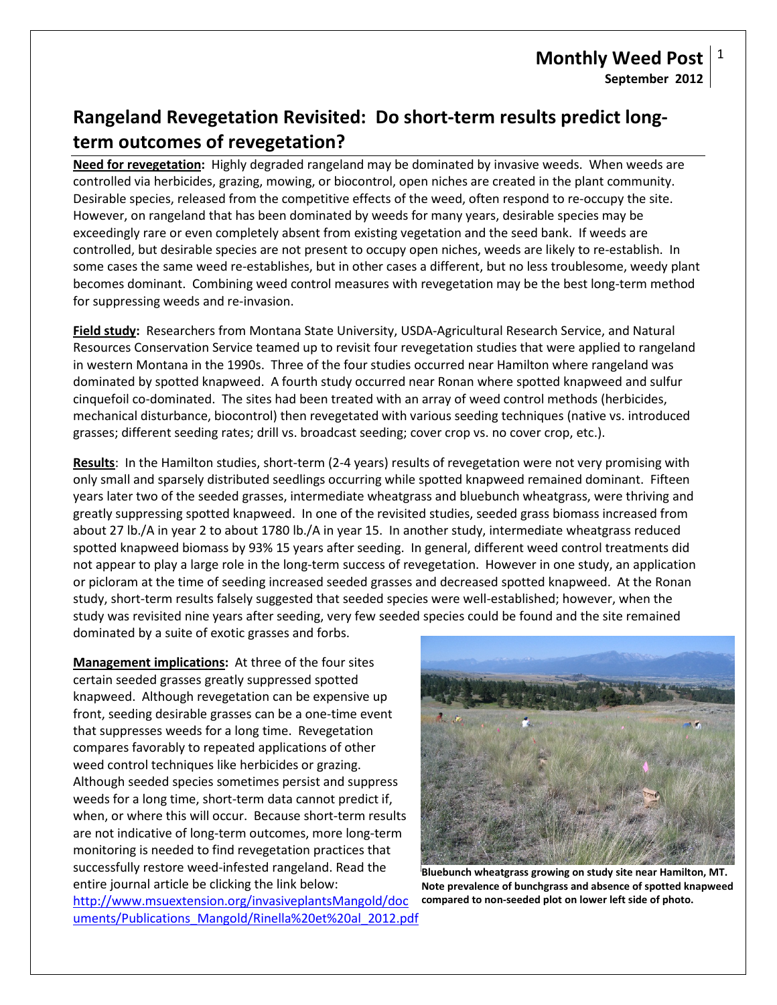# **Rangeland Revegetation Revisited: Do short-term results predict longterm outcomes of revegetation?**

**Need for revegetation:** Highly degraded rangeland may be dominated by invasive weeds. When weeds are controlled via herbicides, grazing, mowing, or biocontrol, open niches are created in the plant community. Desirable species, released from the competitive effects of the weed, often respond to re-occupy the site. However, on rangeland that has been dominated by weeds for many years, desirable species may be exceedingly rare or even completely absent from existing vegetation and the seed bank. If weeds are controlled, but desirable species are not present to occupy open niches, weeds are likely to re-establish. In some cases the same weed re-establishes, but in other cases a different, but no less troublesome, weedy plant becomes dominant. Combining weed control measures with revegetation may be the best long-term method for suppressing weeds and re-invasion.

**Field study:** Researchers from Montana State University, USDA-Agricultural Research Service, and Natural Resources Conservation Service teamed up to revisit four revegetation studies that were applied to rangeland in western Montana in the 1990s. Three of the four studies occurred near Hamilton where rangeland was dominated by spotted knapweed. A fourth study occurred near Ronan where spotted knapweed and sulfur cinquefoil co-dominated. The sites had been treated with an array of weed control methods (herbicides, mechanical disturbance, biocontrol) then revegetated with various seeding techniques (native vs. introduced grasses; different seeding rates; drill vs. broadcast seeding; cover crop vs. no cover crop, etc.).

**Results**: In the Hamilton studies, short-term (2-4 years) results of revegetation were not very promising with only small and sparsely distributed seedlings occurring while spotted knapweed remained dominant. Fifteen years later two of the seeded grasses, intermediate wheatgrass and bluebunch wheatgrass, were thriving and greatly suppressing spotted knapweed. In one of the revisited studies, seeded grass biomass increased from about 27 lb./A in year 2 to about 1780 lb./A in year 15. In another study, intermediate wheatgrass reduced spotted knapweed biomass by 93% 15 years after seeding. In general, different weed control treatments did not appear to play a large role in the long-term success of revegetation. However in one study, an application or picloram at the time of seeding increased seeded grasses and decreased spotted knapweed. At the Ronan study, short-term results falsely suggested that seeded species were well-established; however, when the study was revisited nine years after seeding, very few seeded species could be found and the site remained dominated by a suite of exotic grasses and forbs.

**Management implications:** At three of the four sites certain seeded grasses greatly suppressed spotted knapweed. Although revegetation can be expensive up front, seeding desirable grasses can be a one-time event that suppresses weeds for a long time. Revegetation compares favorably to repeated applications of other weed control techniques like herbicides or grazing. Although seeded species sometimes persist and suppress weeds for a long time, short-term data cannot predict if, when, or where this will occur. Because short-term results are not indicative of long-term outcomes, more long-term monitoring is needed to find revegetation practices that successfully restore weed-infested rangeland. Read the entire journal article be clicking the link below: [http://www.msuextension.org/invasiveplantsMangold/doc](http://www.msuextension.org/invasiveplantsMangold/documents/Publications_Mangold/Rinella%20et%20al_2012.pdf)

[uments/Publications\\_Mangold/Rinella%20et%20al\\_2012.pdf](http://www.msuextension.org/invasiveplantsMangold/documents/Publications_Mangold/Rinella%20et%20al_2012.pdf)



**Bluebunch wheatgrass growing on study site near Hamilton, MT. Note prevalence of bunchgrass and absence of spotted knapweed compared to non-seeded plot on lower left side of photo.**